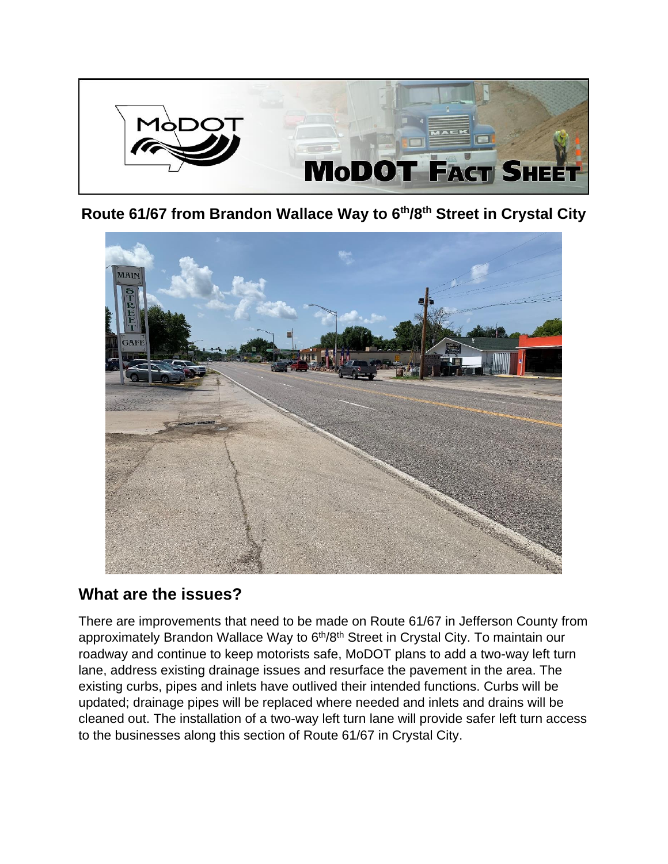

**Route 61/67 from Brandon Wallace Way to 6th/8th Street in Crystal City**



### **What are the issues?**

There are improvements that need to be made on Route 61/67 in Jefferson County from approximately Brandon Wallace Way to 6<sup>th</sup>/8<sup>th</sup> Street in Crystal City. To maintain our roadway and continue to keep motorists safe, MoDOT plans to add a two-way left turn lane, address existing drainage issues and resurface the pavement in the area. The existing curbs, pipes and inlets have outlived their intended functions. Curbs will be updated; drainage pipes will be replaced where needed and inlets and drains will be cleaned out. The installation of a two-way left turn lane will provide safer left turn access to the businesses along this section of Route 61/67 in Crystal City.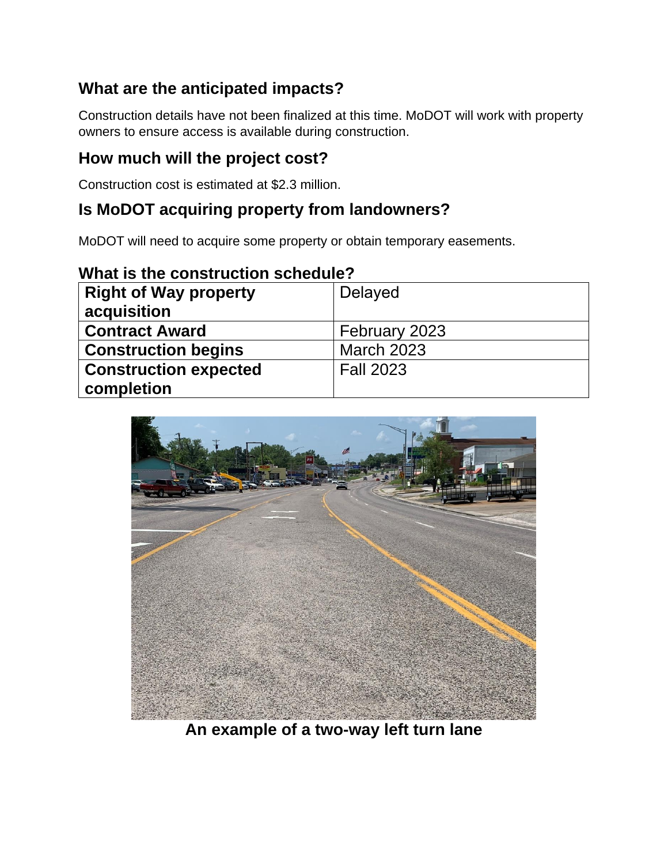# **What are the anticipated impacts?**

Construction details have not been finalized at this time. MoDOT will work with property owners to ensure access is available during construction.

#### **How much will the project cost?**

Construction cost is estimated at \$2.3 million.

### **Is MoDOT acquiring property from landowners?**

MoDOT will need to acquire some property or obtain temporary easements.

|--|

| <b>Right of Way property</b><br>acquisition | Delayed           |
|---------------------------------------------|-------------------|
| <b>Contract Award</b>                       | February 2023     |
| <b>Construction begins</b>                  | <b>March 2023</b> |
| <b>Construction expected</b>                | <b>Fall 2023</b>  |
| completion                                  |                   |



**An example of a two-way left turn lane**